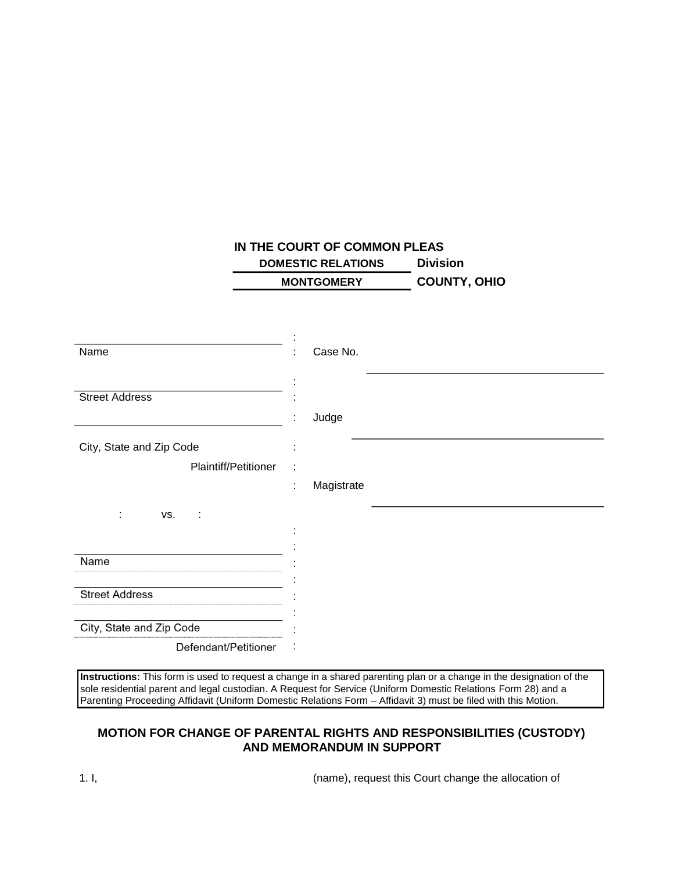## **IN THE COURT OF COMMON PLEAS DOMESTIC RELATIONS Division MONTGOMERY COUNTY, OHIO**

| Name                     | Case No.        |
|--------------------------|-----------------|
| <b>Street Address</b>    | Judge           |
| City, State and Zip Code |                 |
| Plaintiff/Petitioner     | Magistrate<br>t |
| ÷<br>VS.<br>÷            |                 |
|                          |                 |
| Name                     |                 |
| <b>Street Address</b>    |                 |
|                          |                 |
| City, State and Zip Code |                 |
| Defendant/Petitioner     |                 |

**Instructions:** This form is used to request a change in a shared parenting plan or a change in the designation of the sole residential parent and legal custodian. A Request for Service (Uniform Domestic Relations Form 28) and a Parenting Proceeding Affidavit (Uniform Domestic Relations Form – Affidavit 3) must be filed with this Motion.

## **MOTION FOR CHANGE OF PARENTAL RIGHTS AND RESPONSIBILITIES (CUSTODY) AND MEMORANDUM IN SUPPORT**

1. I, (name), request this Court change the allocation of